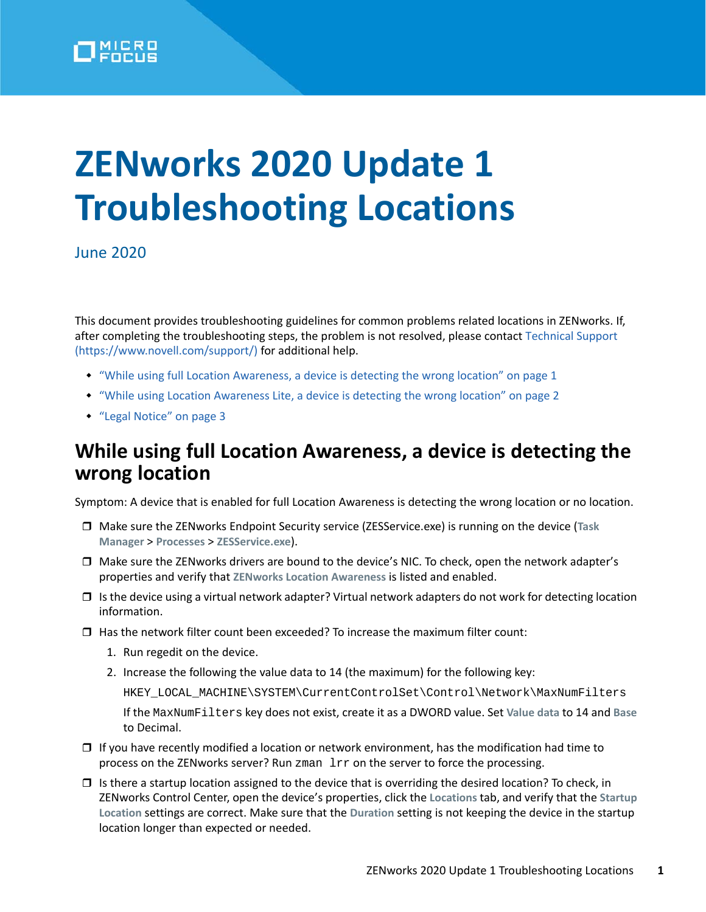

# **ZENworks 2020 Update 1 Troubleshooting Locations**

June 2020

This document provides troubleshooting guidelines for common problems related locations in ZENworks. If, after completing the troubleshooting steps, the problem is not resolved, please contact [Technical Support](https://www.novell.com/support/)  (https://www.novell.com/support/) for additional help.

- ["While using full Location Awareness, a device is detecting the wrong location" on page 1](#page-0-0)
- ["While using Location Awareness Lite, a device is detecting the wrong location" on page 2](#page-1-0)
- ["Legal Notice" on page 3](#page-2-0)

#### <span id="page-0-0"></span>**While using full Location Awareness, a device is detecting the wrong location**

Symptom: A device that is enabled for full Location Awareness is detecting the wrong location or no location.

- Make sure the ZENworks Endpoint Security service (ZESService.exe) is running on the device (**Task Manager** > **Processes** > **ZESService.exe**).
- $\Box$  Make sure the ZEN works drivers are bound to the device's NIC. To check, open the network adapter's properties and verify that **ZENworks Location Awareness** is listed and enabled.
- $\Box$  Is the device using a virtual network adapter? Virtual network adapters do not work for detecting location information.
- $\Box$  Has the network filter count been exceeded? To increase the maximum filter count:
	- 1. Run regedit on the device.
	- 2. Increase the following the value data to 14 (the maximum) for the following key:

HKEY\_LOCAL\_MACHINE\SYSTEM\CurrentControlSet\Control\Network\MaxNumFilters

If the MaxNumFilters key does not exist, create it as a DWORD value. Set **Value data** to 14 and **Base** to Decimal.

- $\Box$  If you have recently modified a location or network environment, has the modification had time to process on the ZENworks server? Run zman lrr on the server to force the processing.
- $\Box$  Is there a startup location assigned to the device that is overriding the desired location? To check, in ZENworks Control Center, open the device's properties, click the **Locations** tab, and verify that the **Startup Location** settings are correct. Make sure that the **Duration** setting is not keeping the device in the startup location longer than expected or needed.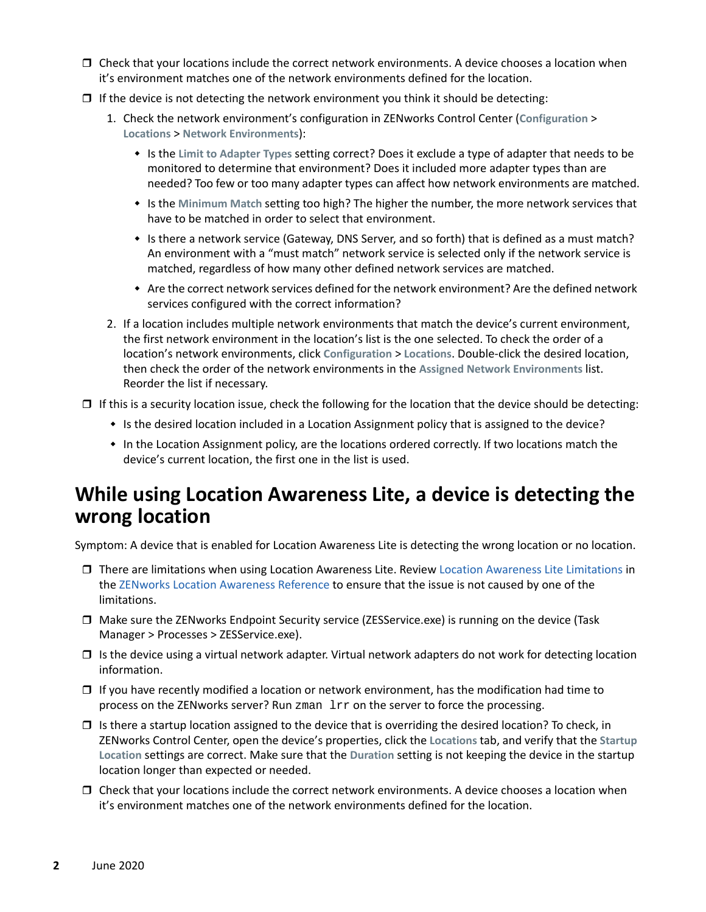- $\Box$  Check that your locations include the correct network environments. A device chooses a location when it's environment matches one of the network environments defined for the location.
- $\Box$  If the device is not detecting the network environment you think it should be detecting:
	- 1. Check the network environment's configuration in ZENworks Control Center (**Configuration** > **Locations** > **Network Environments**):
		- Is the **Limit to Adapter Types** setting correct? Does it exclude a type of adapter that needs to be monitored to determine that environment? Does it included more adapter types than are needed? Too few or too many adapter types can affect how network environments are matched.
		- Is the **Minimum Match** setting too high? The higher the number, the more network services that have to be matched in order to select that environment.
		- Is there a network service (Gateway, DNS Server, and so forth) that is defined as a must match? An environment with a "must match" network service is selected only if the network service is matched, regardless of how many other defined network services are matched.
		- $\bullet$  Are the correct network services defined for the network environment? Are the defined network services configured with the correct information?
	- 2. If a location includes multiple network environments that match the device's current environment, the first network environment in the location's list is the one selected. To check the order of a location's network environments, click **Configuration** > **Locations**. Double-click the desired location, then check the order of the network environments in the **Assigned Network Environments** list. Reorder the list if necessary.

 $\Box$  If this is a security location issue, check the following for the location that the device should be detecting:

- Is the desired location included in a Location Assignment policy that is assigned to the device?
- In the Location Assignment policy, are the locations ordered correctly. If two locations match the device's current location, the first one in the list is used.

### <span id="page-1-0"></span>**While using Location Awareness Lite, a device is detecting the wrong location**

Symptom: A device that is enabled for Location Awareness Lite is detecting the wrong location or no location.

- There are limitations when using Location Awareness Lite. Review [Location Awareness Lite Limitations](https://www.novell.com/documentation/zenworks-2020/pdfdoc/zen_sys_location/zen_sys_location.pdf#b13x6dow) in the [ZENworks Location Awareness Reference](https://www.novell.com/documentation/zenworks-2020/pdfdoc/zen_sys_location/zen_sys_location.pdf#bookinfo) to ensure that the issue is not caused by one of the limitations.
- Make sure the ZENworks Endpoint Security service (ZESService.exe) is running on the device (Task Manager > Processes > ZESService.exe).
- $\Box$  Is the device using a virtual network adapter. Virtual network adapters do not work for detecting location information.
- $\Box$  If you have recently modified a location or network environment, has the modification had time to process on the ZENworks server? Run zman lrr on the server to force the processing.
- $\Box$  Is there a startup location assigned to the device that is overriding the desired location? To check, in ZENworks Control Center, open the device's properties, click the **Locations** tab, and verify that the **Startup Location** settings are correct. Make sure that the **Duration** setting is not keeping the device in the startup location longer than expected or needed.
- $\Box$  Check that your locations include the correct network environments. A device chooses a location when it's environment matches one of the network environments defined for the location.